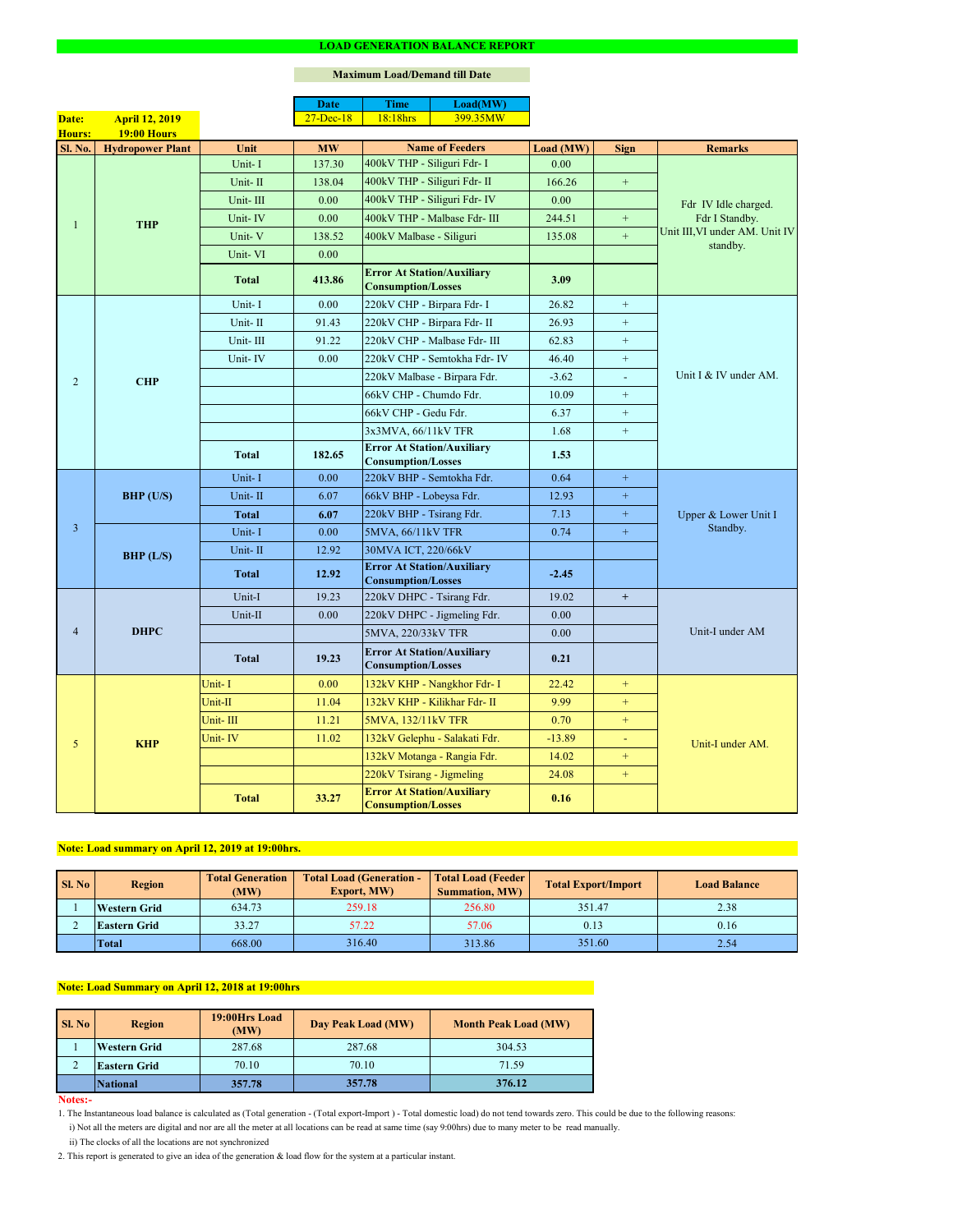#### **Notes:-**

|                |                         |              | <b>Date</b>   | <b>Time</b>                                                    | Load(MW)                      |           |                   |                                                                          |  |
|----------------|-------------------------|--------------|---------------|----------------------------------------------------------------|-------------------------------|-----------|-------------------|--------------------------------------------------------------------------|--|
| Date:          | <b>April 12, 2019</b>   |              | $27 - Dec-18$ | 18:18hrs                                                       | 399.35MW                      |           |                   |                                                                          |  |
| Hours:         | <b>19:00 Hours</b>      |              |               |                                                                |                               |           |                   |                                                                          |  |
| <b>Sl. No.</b> | <b>Hydropower Plant</b> | Unit         | <b>MW</b>     |                                                                | <b>Name of Feeders</b>        | Load (MW) | <b>Sign</b>       | <b>Remarks</b>                                                           |  |
|                |                         | Unit-I       | 137.30        | 400kV THP - Siliguri Fdr- I                                    |                               | 0.00      |                   |                                                                          |  |
|                |                         | Unit-II      | 138.04        | 400kV THP - Siliguri Fdr- II                                   |                               | 166.26    | $\boldsymbol{+}$  |                                                                          |  |
|                |                         | Unit-III     | 0.00          |                                                                | 400kV THP - Siliguri Fdr- IV  | 0.00      |                   | Fdr IV Idle charged.<br>Fdr I Standby.<br>Unit III, VI under AM. Unit IV |  |
|                | <b>THP</b>              | Unit-IV      | 0.00          |                                                                | 400kV THP - Malbase Fdr- III  | 244.51    | $+$               |                                                                          |  |
|                |                         | Unit-V       | 138.52        | 400kV Malbase - Siliguri                                       |                               | 135.08    | $\qquad \qquad +$ |                                                                          |  |
|                |                         | Unit-VI      | 0.00          |                                                                |                               |           |                   | standby.                                                                 |  |
|                |                         | <b>Total</b> | 413.86        | <b>Error At Station/Auxiliary</b><br><b>Consumption/Losses</b> |                               | 3.09      |                   |                                                                          |  |
|                |                         | Unit-I       | 0.00          | 220kV CHP - Birpara Fdr- I                                     |                               | 26.82     | $\boldsymbol{+}$  |                                                                          |  |
|                |                         | Unit-II      | 91.43         |                                                                | 220kV CHP - Birpara Fdr- II   | 26.93     | $+$               |                                                                          |  |
|                |                         | Unit-III     | 91.22         |                                                                | 220kV CHP - Malbase Fdr- III  | 62.83     | $+$               |                                                                          |  |
|                |                         | Unit-IV      | 0.00          |                                                                | 220kV CHP - Semtokha Fdr- IV  | 46.40     | $\boldsymbol{+}$  |                                                                          |  |
| $\overline{2}$ | <b>CHP</b>              |              |               |                                                                | 220kV Malbase - Birpara Fdr.  | $-3.62$   | $\omega$          | Unit I & IV under AM.                                                    |  |
|                |                         |              |               | 66kV CHP - Chumdo Fdr.                                         |                               | 10.09     | $+$               |                                                                          |  |
|                |                         |              |               | 66kV CHP - Gedu Fdr.                                           |                               | 6.37      | $+$               |                                                                          |  |
|                |                         |              |               | 3x3MVA, 66/11kV TFR                                            |                               | 1.68      | $+$               |                                                                          |  |
|                |                         | <b>Total</b> | 182.65        | <b>Error At Station/Auxiliary</b><br><b>Consumption/Losses</b> |                               | 1.53      |                   |                                                                          |  |
|                | BHP (U/S)               | Unit-I       | 0.00          | 220kV BHP - Semtokha Fdr.                                      |                               | 0.64      | $+$               |                                                                          |  |
|                |                         | Unit-II      | 6.07          | 66kV BHP - Lobeysa Fdr.                                        |                               | 12.93     | $\boldsymbol{+}$  |                                                                          |  |
|                |                         | Total        | 6.07          | 220kV BHP - Tsirang Fdr.                                       |                               | 7.13      | $+$               | Upper & Lower Unit I<br>Standby.                                         |  |
| $\overline{3}$ |                         | Unit-I       | 0.00          | 5MVA, 66/11kV TFR                                              |                               | 0.74      | $+$               |                                                                          |  |
|                | BHP (L/S)               | Unit-II      | 12.92         | 30MVA ICT, 220/66kV                                            |                               |           |                   |                                                                          |  |
|                |                         | <b>Total</b> | 12.92         | <b>Error At Station/Auxiliary</b><br><b>Consumption/Losses</b> |                               | $-2.45$   |                   |                                                                          |  |
|                | <b>DHPC</b>             | Unit-I       | 19.23         | 220kV DHPC - Tsirang Fdr.                                      |                               | 19.02     | $+$               |                                                                          |  |
|                |                         | Unit-II      | 0.00          |                                                                | 220kV DHPC - Jigmeling Fdr.   | 0.00      |                   |                                                                          |  |
| $\overline{4}$ |                         |              |               | 5MVA, 220/33kV TFR                                             |                               | 0.00      |                   | Unit-I under AM                                                          |  |
|                |                         | <b>Total</b> | 19.23         | <b>Error At Station/Auxiliary</b><br><b>Consumption/Losses</b> |                               | 0.21      |                   |                                                                          |  |
|                |                         | Unit-I       | 0.00          |                                                                | 132kV KHP - Nangkhor Fdr- I   | 22.42     | $+$               |                                                                          |  |
|                |                         | Unit-II      | 11.04         |                                                                | 132kV KHP - Kilikhar Fdr- II  | 9.99      | $+$               |                                                                          |  |
|                |                         | Unit-III     | 11.21         | 5MVA, 132/11kV TFR                                             |                               | 0.70      | $+$               |                                                                          |  |
| 5              |                         | Unit-IV      | 11.02         |                                                                | 132kV Gelephu - Salakati Fdr. | $-13.89$  | $\equiv$          | Unit-I under AM.                                                         |  |
|                | <b>KHP</b>              |              |               |                                                                | 132kV Motanga - Rangia Fdr.   | 14.02     | $^{+}$            |                                                                          |  |
|                |                         |              |               | 220kV Tsirang - Jigmeling                                      |                               | 24.08     | $+$               |                                                                          |  |
|                |                         | <b>Total</b> | 33.27         | <b>Error At Station/Auxiliary</b><br><b>Consumption/Losses</b> |                               | 0.16      |                   |                                                                          |  |

#### **LOAD GENERATION BALANCE REPORT**

| <b>Sl. No</b> | <b>Total Generation</b><br><b>Region</b><br>(MW) |        | <b>Total Load (Generation -</b><br><b>Export, MW)</b> | <b>Total Load (Feeder)</b><br><b>Summation, MW)</b> | <b>Total Export/Import</b> | <b>Load Balance</b> |
|---------------|--------------------------------------------------|--------|-------------------------------------------------------|-----------------------------------------------------|----------------------------|---------------------|
|               | 634.73<br><b>Western Grid</b>                    |        | 259.18                                                | 256.80                                              | 351.47                     | 2.38                |
|               | 33.27<br><b>Eastern Grid</b>                     |        | 57.22                                                 | 0.13<br>57.06                                       |                            | 0.16                |
|               | <b>Total</b>                                     | 668.00 | 316.40                                                | 313.86                                              | 351.60                     | 2.54                |

| <b>Sl. No</b> | <b>Region</b>       | 19:00Hrs Load<br>(MW) | Day Peak Load (MW) | <b>Month Peak Load (MW)</b> |  |
|---------------|---------------------|-----------------------|--------------------|-----------------------------|--|
|               | <b>Western Grid</b> | 287.68                | 287.68             | 304.53                      |  |
|               | <b>Eastern Grid</b> | 70.10                 | 70.10              | 71.59                       |  |
|               | <b>National</b>     | 357.78                | 357.78             | 376.12                      |  |

# **Note: Load Summary on April 12, 2018 at 19:00hrs**

# **Note: Load summary on April 12, 2019 at 19:00hrs.**

- 1. The Instantaneous load balance is calculated as (Total generation (Total export-Import ) Total domestic load) do not tend towards zero. This could be due to the following reasons:
	- i) Not all the meters are digital and nor are all the meter at all locations can be read at same time (say 9:00hrs) due to many meter to be read manually.
	- ii) The clocks of all the locations are not synchronized
- 2. This report is generated to give an idea of the generation & load flow for the system at a particular instant.

### **Maximum Load/Demand till Date**